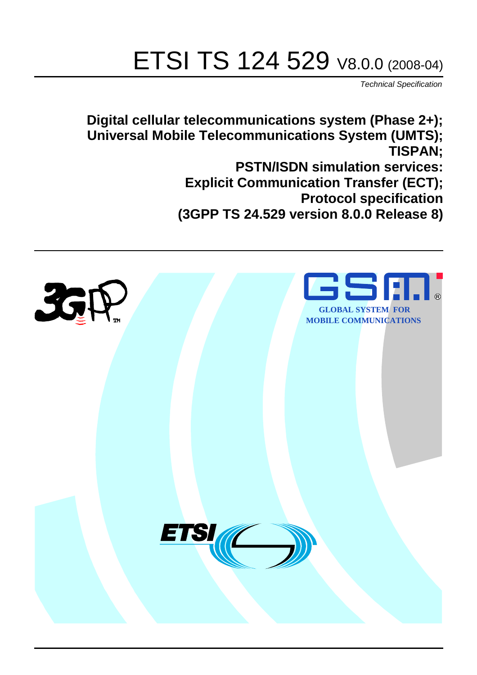# ETSI TS 124 529 V8.0.0 (2008-04)

*Technical Specification*

**Digital cellular telecommunications system (Phase 2+); Universal Mobile Telecommunications System (UMTS); TISPAN; PSTN/ISDN simulation services: Explicit Communication Transfer (ECT); Protocol specification (3GPP TS 24.529 version 8.0.0 Release 8)**

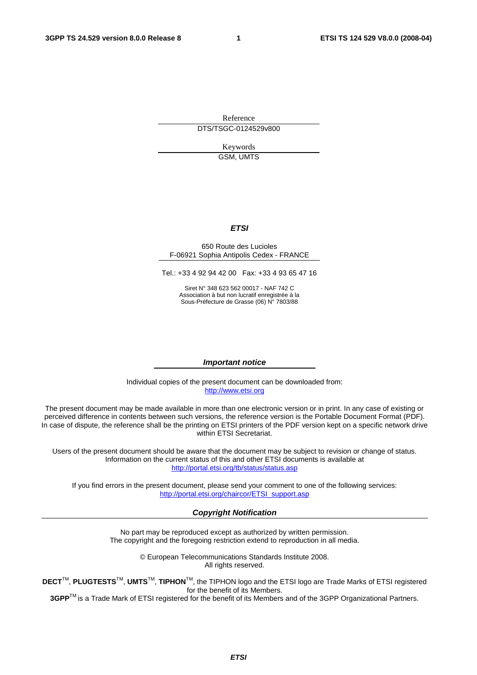Reference DTS/TSGC-0124529v800

> Keywords GSM, UMTS

#### *ETSI*

#### 650 Route des Lucioles F-06921 Sophia Antipolis Cedex - FRANCE

Tel.: +33 4 92 94 42 00 Fax: +33 4 93 65 47 16

Siret N° 348 623 562 00017 - NAF 742 C Association à but non lucratif enregistrée à la Sous-Préfecture de Grasse (06) N° 7803/88

#### *Important notice*

Individual copies of the present document can be downloaded from: [http://www.etsi.org](http://www.etsi.org/)

The present document may be made available in more than one electronic version or in print. In any case of existing or perceived difference in contents between such versions, the reference version is the Portable Document Format (PDF). In case of dispute, the reference shall be the printing on ETSI printers of the PDF version kept on a specific network drive within ETSI Secretariat.

Users of the present document should be aware that the document may be subject to revision or change of status. Information on the current status of this and other ETSI documents is available at <http://portal.etsi.org/tb/status/status.asp>

If you find errors in the present document, please send your comment to one of the following services: [http://portal.etsi.org/chaircor/ETSI\\_support.asp](http://portal.etsi.org/chaircor/ETSI_support.asp)

#### *Copyright Notification*

No part may be reproduced except as authorized by written permission. The copyright and the foregoing restriction extend to reproduction in all media.

> © European Telecommunications Standards Institute 2008. All rights reserved.

**DECT**TM, **PLUGTESTS**TM, **UMTS**TM, **TIPHON**TM, the TIPHON logo and the ETSI logo are Trade Marks of ETSI registered for the benefit of its Members.

**3GPP**TM is a Trade Mark of ETSI registered for the benefit of its Members and of the 3GPP Organizational Partners.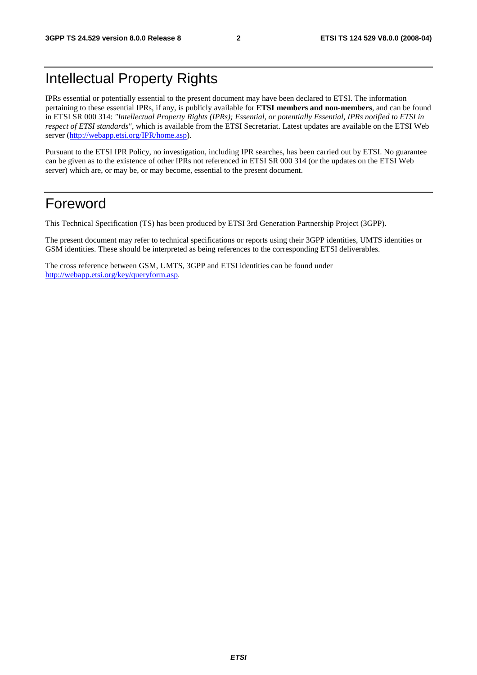# Intellectual Property Rights

IPRs essential or potentially essential to the present document may have been declared to ETSI. The information pertaining to these essential IPRs, if any, is publicly available for **ETSI members and non-members**, and can be found in ETSI SR 000 314: *"Intellectual Property Rights (IPRs); Essential, or potentially Essential, IPRs notified to ETSI in respect of ETSI standards"*, which is available from the ETSI Secretariat. Latest updates are available on the ETSI Web server ([http://webapp.etsi.org/IPR/home.asp\)](http://webapp.etsi.org/IPR/home.asp).

Pursuant to the ETSI IPR Policy, no investigation, including IPR searches, has been carried out by ETSI. No guarantee can be given as to the existence of other IPRs not referenced in ETSI SR 000 314 (or the updates on the ETSI Web server) which are, or may be, or may become, essential to the present document.

## Foreword

This Technical Specification (TS) has been produced by ETSI 3rd Generation Partnership Project (3GPP).

The present document may refer to technical specifications or reports using their 3GPP identities, UMTS identities or GSM identities. These should be interpreted as being references to the corresponding ETSI deliverables.

The cross reference between GSM, UMTS, 3GPP and ETSI identities can be found under [http://webapp.etsi.org/key/queryform.asp.](http://webapp.etsi.org/key/queryform.asp)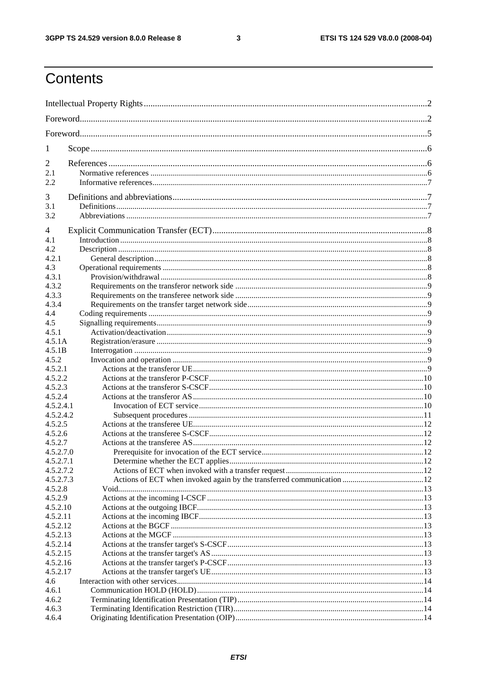$\mathbf{3}$ 

# Contents

| 1                    |  |  |  |  |
|----------------------|--|--|--|--|
| $\overline{2}$       |  |  |  |  |
| 2.1                  |  |  |  |  |
| 2.2                  |  |  |  |  |
| 3                    |  |  |  |  |
| 3.1                  |  |  |  |  |
| 3.2                  |  |  |  |  |
| 4                    |  |  |  |  |
| 4.1                  |  |  |  |  |
| 4.2                  |  |  |  |  |
| 4.2.1                |  |  |  |  |
| 4.3<br>4.3.1         |  |  |  |  |
| 4.3.2                |  |  |  |  |
| 4.3.3                |  |  |  |  |
| 4.3.4                |  |  |  |  |
| 4.4                  |  |  |  |  |
| 4.5                  |  |  |  |  |
| 4.5.1                |  |  |  |  |
| 4.5.1A               |  |  |  |  |
| 4.5.1B<br>4.5.2      |  |  |  |  |
| 4.5.2.1              |  |  |  |  |
| 4.5.2.2              |  |  |  |  |
| 4.5.2.3              |  |  |  |  |
| 4.5.2.4              |  |  |  |  |
| 4.5.2.4.1            |  |  |  |  |
| 4.5.2.4.2            |  |  |  |  |
| 4.5.2.5              |  |  |  |  |
| 4.5.2.6<br>4.5.2.7   |  |  |  |  |
| 4.5.2.7.0            |  |  |  |  |
| 4.5.2.7.1            |  |  |  |  |
| 4.5.2.7.2            |  |  |  |  |
| 4.5.2.7.3            |  |  |  |  |
| 4.5.2.8              |  |  |  |  |
| 4.5.2.9              |  |  |  |  |
| 4.5.2.10<br>4.5.2.11 |  |  |  |  |
| 4.5.2.12             |  |  |  |  |
| 4.5.2.13             |  |  |  |  |
| 4.5.2.14             |  |  |  |  |
| 4.5.2.15             |  |  |  |  |
| 4.5.2.16             |  |  |  |  |
| 4.5.2.17             |  |  |  |  |
| 4.6                  |  |  |  |  |
| 4.6.1                |  |  |  |  |
| 4.6.2<br>4.6.3       |  |  |  |  |
| 4.6.4                |  |  |  |  |
|                      |  |  |  |  |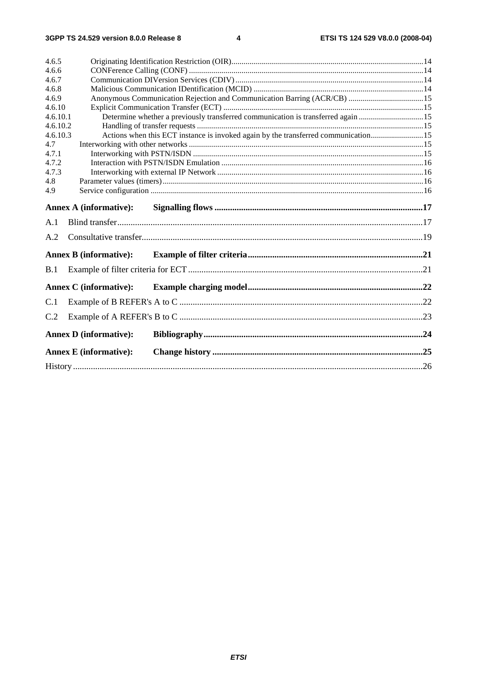| 4.6.5    |                               |                                                                                    |  |  |  |
|----------|-------------------------------|------------------------------------------------------------------------------------|--|--|--|
| 4.6.6    |                               |                                                                                    |  |  |  |
| 4.6.7    |                               |                                                                                    |  |  |  |
| 4.6.8    |                               |                                                                                    |  |  |  |
| 4.6.9    |                               | Anonymous Communication Rejection and Communication Barring (ACR/CB) 15            |  |  |  |
| 4.6.10   |                               |                                                                                    |  |  |  |
| 4.6.10.1 |                               | Determine whether a previously transferred communication is transferred again 15   |  |  |  |
| 4.6.10.2 |                               |                                                                                    |  |  |  |
| 4.6.10.3 |                               | Actions when this ECT instance is invoked again by the transferred communication15 |  |  |  |
| 4.7      |                               |                                                                                    |  |  |  |
| 4.7.1    |                               |                                                                                    |  |  |  |
| 4.7.2    |                               |                                                                                    |  |  |  |
| 4.7.3    |                               |                                                                                    |  |  |  |
| 4.8      |                               |                                                                                    |  |  |  |
| 4.9      |                               |                                                                                    |  |  |  |
|          | <b>Annex A (informative):</b> |                                                                                    |  |  |  |
| A.1      |                               |                                                                                    |  |  |  |
| A.2      |                               |                                                                                    |  |  |  |
|          | <b>Annex B</b> (informative): |                                                                                    |  |  |  |
| B.1      |                               |                                                                                    |  |  |  |
|          | <b>Annex C</b> (informative): |                                                                                    |  |  |  |
| C.1      |                               |                                                                                    |  |  |  |
| C.2      |                               |                                                                                    |  |  |  |
|          | <b>Annex D</b> (informative): |                                                                                    |  |  |  |
|          | <b>Annex E</b> (informative): |                                                                                    |  |  |  |
|          |                               |                                                                                    |  |  |  |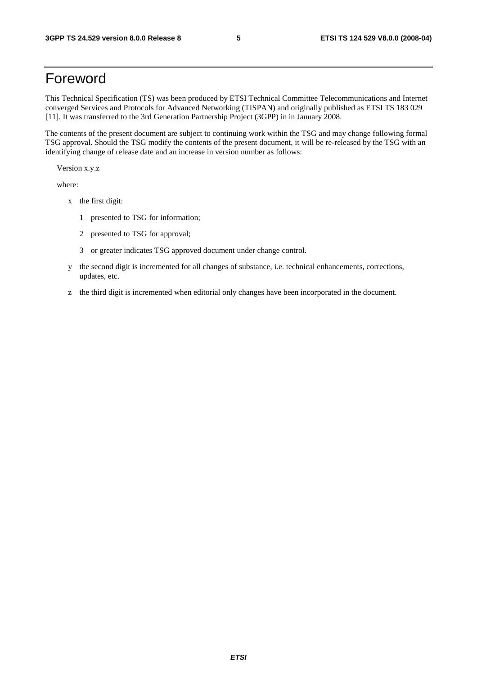# Foreword

This Technical Specification (TS) was been produced by ETSI Technical Committee Telecommunications and Internet converged Services and Protocols for Advanced Networking (TISPAN) and originally published as ETSI TS 183 029 [11]. It was transferred to the 3rd Generation Partnership Project (3GPP) in in January 2008.

The contents of the present document are subject to continuing work within the TSG and may change following formal TSG approval. Should the TSG modify the contents of the present document, it will be re-released by the TSG with an identifying change of release date and an increase in version number as follows:

Version x.y.z

where:

- x the first digit:
	- 1 presented to TSG for information;
	- 2 presented to TSG for approval;
	- 3 or greater indicates TSG approved document under change control.
- y the second digit is incremented for all changes of substance, i.e. technical enhancements, corrections, updates, etc.
- z the third digit is incremented when editorial only changes have been incorporated in the document.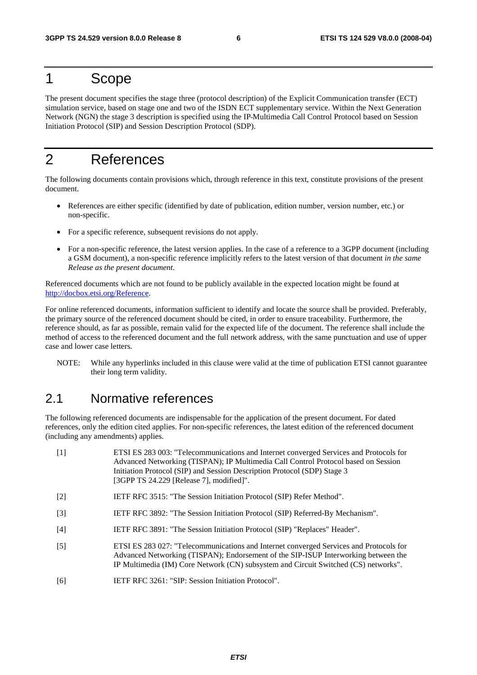# 1 Scope

The present document specifies the stage three (protocol description) of the Explicit Communication transfer (ECT) simulation service, based on stage one and two of the ISDN ECT supplementary service. Within the Next Generation Network (NGN) the stage 3 description is specified using the IP Multimedia Call Control Protocol based on Session Initiation Protocol (SIP) and Session Description Protocol (SDP).

# 2 References

The following documents contain provisions which, through reference in this text, constitute provisions of the present document.

- References are either specific (identified by date of publication, edition number, version number, etc.) or non-specific.
- For a specific reference, subsequent revisions do not apply.
- For a non-specific reference, the latest version applies. In the case of a reference to a 3GPP document (including a GSM document), a non-specific reference implicitly refers to the latest version of that document *in the same Release as the present document*.

Referenced documents which are not found to be publicly available in the expected location might be found at http://docbox.etsi.org/Reference.

For online referenced documents, information sufficient to identify and locate the source shall be provided. Preferably, the primary source of the referenced document should be cited, in order to ensure traceability. Furthermore, the reference should, as far as possible, remain valid for the expected life of the document. The reference shall include the method of access to the referenced document and the full network address, with the same punctuation and use of upper case and lower case letters.

NOTE: While any hyperlinks included in this clause were valid at the time of publication ETSI cannot guarantee their long term validity.

### 2.1 Normative references

The following referenced documents are indispensable for the application of the present document. For dated references, only the edition cited applies. For non-specific references, the latest edition of the referenced document (including any amendments) applies.

| $\lceil 1 \rceil$ | ETSI ES 283 003: "Telecommunications and Internet converged Services and Protocols for<br>Advanced Networking (TISPAN); IP Multimedia Call Control Protocol based on Session<br>Initiation Protocol (SIP) and Session Description Protocol (SDP) Stage 3<br>[3GPP TS $24.229$ [Release 7], modified]". |
|-------------------|--------------------------------------------------------------------------------------------------------------------------------------------------------------------------------------------------------------------------------------------------------------------------------------------------------|
| $\lceil 2 \rceil$ | IETF RFC 3515: "The Session Initiation Protocol (SIP) Refer Method".                                                                                                                                                                                                                                   |
| $\lceil 3 \rceil$ | IETF RFC 3892: "The Session Initiation Protocol (SIP) Referred-By Mechanism".                                                                                                                                                                                                                          |
| $[4]$             | IETF RFC 3891: "The Session Initiation Protocol (SIP) "Replaces" Header".                                                                                                                                                                                                                              |

- [5] ETSI ES 283 027: "Telecommunications and Internet converged Services and Protocols for Advanced Networking (TISPAN); Endorsement of the SIP-ISUP Interworking between the IP Multimedia (IM) Core Network (CN) subsystem and Circuit Switched (CS) networks".
- [6] IETF RFC 3261: "SIP: Session Initiation Protocol".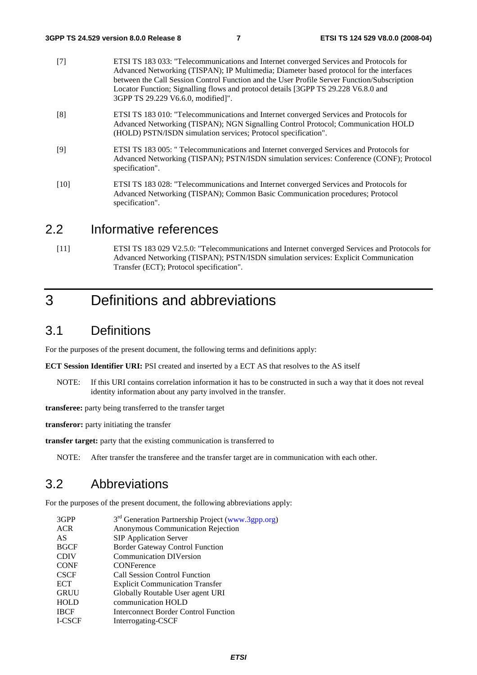- [7] ETSI TS 183 033: "Telecommunications and Internet converged Services and Protocols for Advanced Networking (TISPAN); IP Multimedia; Diameter based protocol for the interfaces between the Call Session Control Function and the User Profile Server Function/Subscription Locator Function; Signalling flows and protocol details [3GPP TS 29.228 V6.8.0 and 3GPP TS 29.229 V6.6.0, modified]".
- [8] ETSI TS 183 010: "Telecommunications and Internet converged Services and Protocols for Advanced Networking (TISPAN); NGN Signalling Control Protocol; Communication HOLD (HOLD) PSTN/ISDN simulation services; Protocol specification".
- [9] ETSI TS 183 005: " Telecommunications and Internet converged Services and Protocols for Advanced Networking (TISPAN); PSTN/ISDN simulation services: Conference (CONF); Protocol specification".
- [10] ETSI TS 183 028: "Telecommunications and Internet converged Services and Protocols for Advanced Networking (TISPAN); Common Basic Communication procedures; Protocol specification".

### 2.2 Informative references

[11] ETSI TS 183 029 V2.5.0: "Telecommunications and Internet converged Services and Protocols for Advanced Networking (TISPAN); PSTN/ISDN simulation services: Explicit Communication Transfer (ECT); Protocol specification".

# 3 Definitions and abbreviations

### 3.1 Definitions

For the purposes of the present document, the following terms and definitions apply:

**ECT Session Identifier URI:** PSI created and inserted by a ECT AS that resolves to the AS itself

NOTE: If this URI contains correlation information it has to be constructed in such a way that it does not reveal identity information about any party involved in the transfer.

**transferee:** party being transferred to the transfer target

**transferor:** party initiating the transfer

**transfer target:** party that the existing communication is transferred to

NOTE: After transfer the transferee and the transfer target are in communication with each other.

### 3.2 Abbreviations

For the purposes of the present document, the following abbreviations apply:

| 3GPP          | 3 <sup>rd</sup> Generation Partnership Project (www.3gpp.org) |
|---------------|---------------------------------------------------------------|
| <b>ACR</b>    | Anonymous Communication Rejection                             |
| AS            | <b>SIP Application Server</b>                                 |
| <b>BGCF</b>   | <b>Border Gateway Control Function</b>                        |
| <b>CDIV</b>   | <b>Communication DIVersion</b>                                |
| <b>CONF</b>   | <b>CONFerence</b>                                             |
| <b>CSCF</b>   | <b>Call Session Control Function</b>                          |
| <b>ECT</b>    | <b>Explicit Communication Transfer</b>                        |
| <b>GRUU</b>   | Globally Routable User agent URI                              |
| HOLD          | communication HOLD                                            |
| <b>IBCF</b>   | <b>Interconnect Border Control Function</b>                   |
| <b>I-CSCF</b> | Interrogating-CSCF                                            |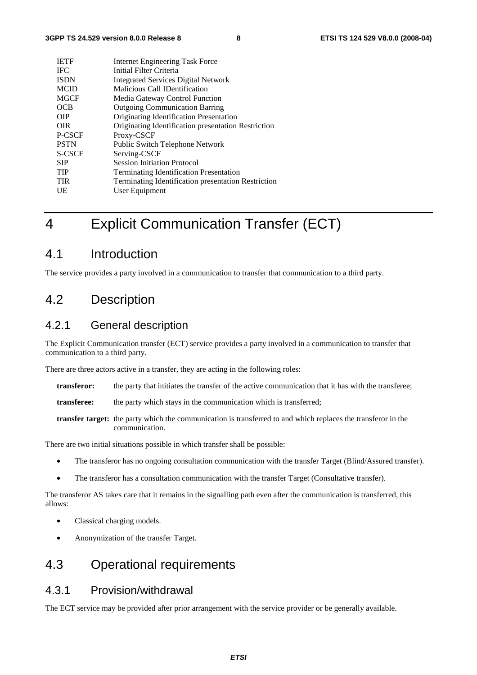| <b>IETF</b> | <b>Internet Engineering Task Force</b>              |
|-------------|-----------------------------------------------------|
| <b>IFC</b>  | Initial Filter Criteria                             |
| <b>ISDN</b> | <b>Integrated Services Digital Network</b>          |
| <b>MCID</b> | Malicious Call IDentification                       |
| <b>MGCF</b> | Media Gateway Control Function                      |
| OCB         | <b>Outgoing Communication Barring</b>               |
| <b>OIP</b>  | Originating Identification Presentation             |
| <b>OIR</b>  | Originating Identification presentation Restriction |
| P-CSCF      | Proxy-CSCF                                          |
| <b>PSTN</b> | Public Switch Telephone Network                     |
| S-CSCF      | Serving-CSCF                                        |
| <b>SIP</b>  | <b>Session Initiation Protocol</b>                  |
| <b>TIP</b>  | <b>Terminating Identification Presentation</b>      |
| <b>TIR</b>  | Terminating Identification presentation Restriction |
| UE          | User Equipment                                      |
|             |                                                     |

# 4 Explicit Communication Transfer (ECT)

### 4.1 Introduction

The service provides a party involved in a communication to transfer that communication to a third party.

### 4.2 Description

### 4.2.1 General description

The Explicit Communication transfer (ECT) service provides a party involved in a communication to transfer that communication to a third party.

There are three actors active in a transfer, they are acting in the following roles:

- **transferor:** the party that initiates the transfer of the active communication that it has with the transferee;
- **transferee:** the party which stays in the communication which is transferred;
- **transfer target:** the party which the communication is transferred to and which replaces the transferor in the communication.

There are two initial situations possible in which transfer shall be possible:

- The transferor has no ongoing consultation communication with the transfer Target (Blind/Assured transfer).
- The transferor has a consultation communication with the transfer Target (Consultative transfer).

The transferor AS takes care that it remains in the signalling path even after the communication is transferred, this allows:

- Classical charging models.
- Anonymization of the transfer Target.

### 4.3 Operational requirements

#### 4.3.1 Provision/withdrawal

The ECT service may be provided after prior arrangement with the service provider or be generally available.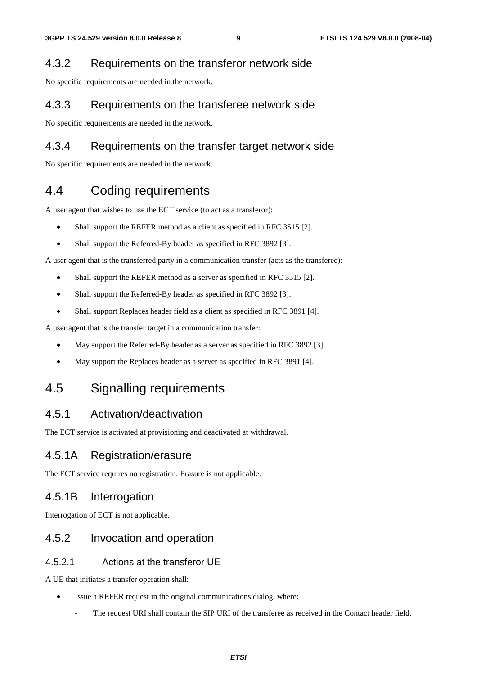#### 4.3.2 Requirements on the transferor network side

No specific requirements are needed in the network.

#### 4.3.3 Requirements on the transferee network side

No specific requirements are needed in the network.

### 4.3.4 Requirements on the transfer target network side

No specific requirements are needed in the network.

### 4.4 Coding requirements

A user agent that wishes to use the ECT service (to act as a transferor):

- Shall support the REFER method as a client as specified in RFC 3515 [2].
- Shall support the Referred-By header as specified in RFC 3892 [3].

A user agent that is the transferred party in a communication transfer (acts as the transferee):

- Shall support the REFER method as a server as specified in RFC 3515 [2].
- Shall support the Referred-By header as specified in RFC 3892 [3].
- Shall support Replaces header field as a client as specified in RFC 3891 [4].

A user agent that is the transfer target in a communication transfer:

- May support the Referred-By header as a server as specified in RFC 3892 [3].
- May support the Replaces header as a server as specified in RFC 3891 [4].

### 4.5 Signalling requirements

### 4.5.1 Activation/deactivation

The ECT service is activated at provisioning and deactivated at withdrawal.

#### 4.5.1A Registration/erasure

The ECT service requires no registration. Erasure is not applicable.

#### 4.5.1B Interrogation

Interrogation of ECT is not applicable.

### 4.5.2 Invocation and operation

#### 4.5.2.1 Actions at the transferor UE

A UE that initiates a transfer operation shall:

- Issue a REFER request in the original communications dialog, where:
	- The request URI shall contain the SIP URI of the transferee as received in the Contact header field.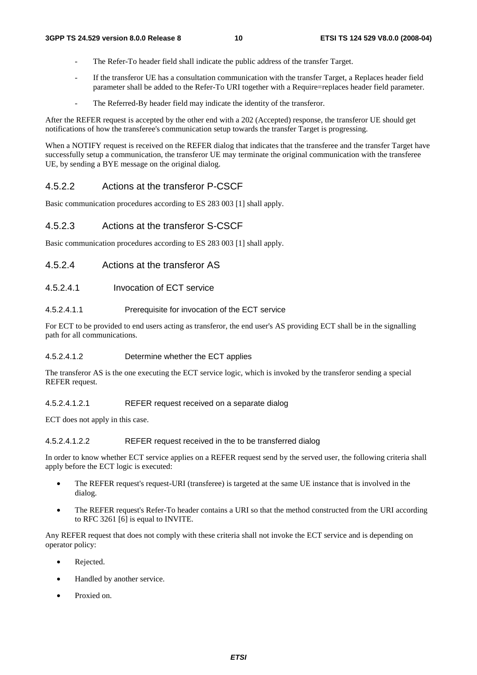- The Refer-To header field shall indicate the public address of the transfer Target.
- If the transferor UE has a consultation communication with the transfer Target, a Replaces header field parameter shall be added to the Refer-To URI together with a Require=replaces header field parameter.
- The Referred-By header field may indicate the identity of the transferor.

After the REFER request is accepted by the other end with a 202 (Accepted) response, the transferor UE should get notifications of how the transferee's communication setup towards the transfer Target is progressing.

When a NOTIFY request is received on the REFER dialog that indicates that the transferee and the transfer Target have successfully setup a communication, the transferor UE may terminate the original communication with the transferee UE, by sending a BYE message on the original dialog.

#### 4.5.2.2 Actions at the transferor P-CSCF

Basic communication procedures according to ES 283 003 [1] shall apply.

#### 4.5.2.3 Actions at the transferor S-CSCF

Basic communication procedures according to ES 283 003 [1] shall apply.

#### 4.5.2.4 Actions at the transferor AS

4.5.2.4.1 Invocation of ECT service

#### 4.5.2.4.1.1 Prerequisite for invocation of the ECT service

For ECT to be provided to end users acting as transferor, the end user's AS providing ECT shall be in the signalling path for all communications.

#### 4.5.2.4.1.2 Determine whether the ECT applies

The transferor AS is the one executing the ECT service logic, which is invoked by the transferor sending a special REFER request.

#### 4.5.2.4.1.2.1 REFER request received on a separate dialog

ECT does not apply in this case.

#### 4.5.2.4.1.2.2 REFER request received in the to be transferred dialog

In order to know whether ECT service applies on a REFER request send by the served user, the following criteria shall apply before the ECT logic is executed:

- The REFER request's request-URI (transferee) is targeted at the same UE instance that is involved in the dialog.
- The REFER request's Refer-To header contains a URI so that the method constructed from the URI according to RFC 3261 [6] is equal to INVITE.

Any REFER request that does not comply with these criteria shall not invoke the ECT service and is depending on operator policy:

- Rejected.
- Handled by another service.
- Proxied on.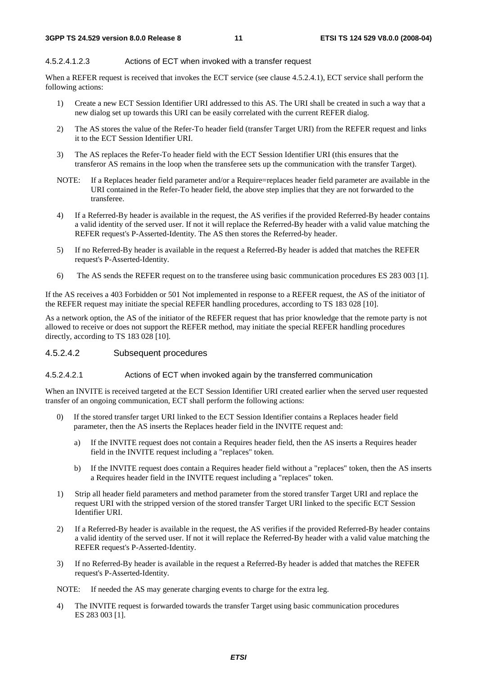#### 4.5.2.4.1.2.3 Actions of ECT when invoked with a transfer request

When a REFER request is received that invokes the ECT service (see clause 4.5.2.4.1), ECT service shall perform the following actions:

- 1) Create a new ECT Session Identifier URI addressed to this AS. The URI shall be created in such a way that a new dialog set up towards this URI can be easily correlated with the current REFER dialog.
- 2) The AS stores the value of the Refer-To header field (transfer Target URI) from the REFER request and links it to the ECT Session Identifier URI.
- 3) The AS replaces the Refer-To header field with the ECT Session Identifier URI (this ensures that the transferor AS remains in the loop when the transferee sets up the communication with the transfer Target).
- NOTE: If a Replaces header field parameter and/or a Require=replaces header field parameter are available in the URI contained in the Refer-To header field, the above step implies that they are not forwarded to the transferee.
- 4) If a Referred-By header is available in the request, the AS verifies if the provided Referred-By header contains a valid identity of the served user. If not it will replace the Referred-By header with a valid value matching the REFER request's P-Asserted-Identity. The AS then stores the Referred-by header.
- 5) If no Referred-By header is available in the request a Referred-By header is added that matches the REFER request's P-Asserted-Identity.
- 6) The AS sends the REFER request on to the transferee using basic communication procedures ES 283 003 [1].

If the AS receives a 403 Forbidden or 501 Not implemented in response to a REFER request, the AS of the initiator of the REFER request may initiate the special REFER handling procedures, according to TS 183 028 [10].

As a network option, the AS of the initiator of the REFER request that has prior knowledge that the remote party is not allowed to receive or does not support the REFER method, may initiate the special REFER handling procedures directly, according to TS 183 028 [10].

#### 4.5.2.4.2 Subsequent procedures

#### 4.5.2.4.2.1 Actions of ECT when invoked again by the transferred communication

When an INVITE is received targeted at the ECT Session Identifier URI created earlier when the served user requested transfer of an ongoing communication, ECT shall perform the following actions:

- 0) If the stored transfer target URI linked to the ECT Session Identifier contains a Replaces header field parameter, then the AS inserts the Replaces header field in the INVITE request and:
	- a) If the INVITE request does not contain a Requires header field, then the AS inserts a Requires header field in the INVITE request including a "replaces" token.
	- b) If the INVITE request does contain a Requires header field without a "replaces" token, then the AS inserts a Requires header field in the INVITE request including a "replaces" token.
- 1) Strip all header field parameters and method parameter from the stored transfer Target URI and replace the request URI with the stripped version of the stored transfer Target URI linked to the specific ECT Session Identifier URI.
- 2) If a Referred-By header is available in the request, the AS verifies if the provided Referred-By header contains a valid identity of the served user. If not it will replace the Referred-By header with a valid value matching the REFER request's P-Asserted-Identity.
- 3) If no Referred-By header is available in the request a Referred-By header is added that matches the REFER request's P-Asserted-Identity.

NOTE: If needed the AS may generate charging events to charge for the extra leg.

4) The INVITE request is forwarded towards the transfer Target using basic communication procedures ES 283 003 [1].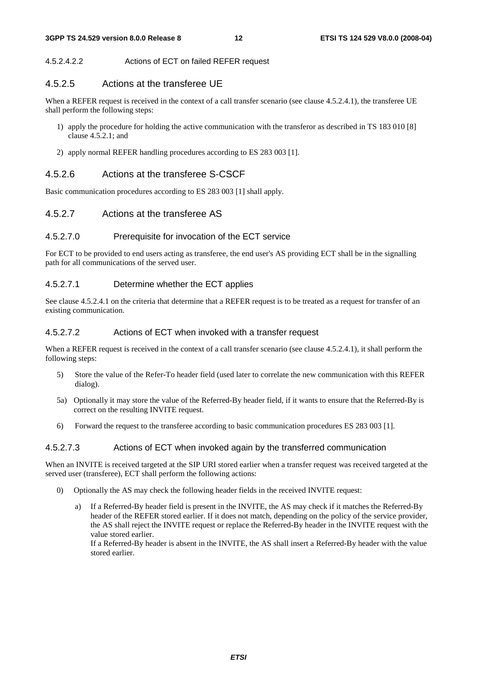#### 4.5.2.4.2.2 Actions of ECT on failed REFER request

#### 4.5.2.5 Actions at the transferee UE

When a REFER request is received in the context of a call transfer scenario (see clause 4.5.2.4.1), the transferee UE shall perform the following steps:

- 1) apply the procedure for holding the active communication with the transferor as described in TS 183 010 [8] clause  $4.5.2.1$ ; and
- 2) apply normal REFER handling procedures according to ES 283 003 [1].

#### 4.5.2.6 Actions at the transferee S-CSCF

Basic communication procedures according to ES 283 003 [1] shall apply.

#### 4.5.2.7 Actions at the transferee AS

#### 4.5.2.7.0 Prerequisite for invocation of the ECT service

For ECT to be provided to end users acting as transferee, the end user's AS providing ECT shall be in the signalling path for all communications of the served user.

#### 4.5.2.7.1 Determine whether the ECT applies

See clause 4.5.2.4.1 on the criteria that determine that a REFER request is to be treated as a request for transfer of an existing communication.

#### 4.5.2.7.2 Actions of ECT when invoked with a transfer request

When a REFER request is received in the context of a call transfer scenario (see clause 4.5.2.4.1), it shall perform the following steps:

- 5) Store the value of the Refer-To header field (used later to correlate the new communication with this REFER dialog).
- 5a) Optionally it may store the value of the Referred-By header field, if it wants to ensure that the Referred-By is correct on the resulting INVITE request.
- 6) Forward the request to the transferee according to basic communication procedures ES 283 003 [1].

#### 4.5.2.7.3 Actions of ECT when invoked again by the transferred communication

When an INVITE is received targeted at the SIP URI stored earlier when a transfer request was received targeted at the served user (transferee), ECT shall perform the following actions:

- 0) Optionally the AS may check the following header fields in the received INVITE request:
	- a) If a Referred-By header field is present in the INVITE, the AS may check if it matches the Referred-By header of the REFER stored earlier. If it does not match, depending on the policy of the service provider, the AS shall reject the INVITE request or replace the Referred-By header in the INVITE request with the value stored earlier. If a Referred-By header is absent in the INVITE, the AS shall insert a Referred-By header with the value

stored earlier.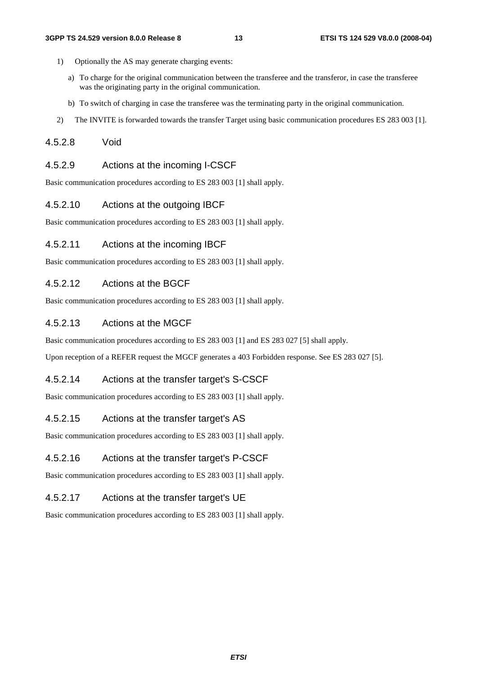- 1) Optionally the AS may generate charging events:
	- a) To charge for the original communication between the transferee and the transferor, in case the transferee was the originating party in the original communication.
	- b) To switch of charging in case the transferee was the terminating party in the original communication.
- 2) The INVITE is forwarded towards the transfer Target using basic communication procedures ES 283 003 [1].

#### 4.5.2.8 Void

#### 4.5.2.9 Actions at the incoming I-CSCF

Basic communication procedures according to ES 283 003 [1] shall apply.

#### 4.5.2.10 Actions at the outgoing IBCF

Basic communication procedures according to ES 283 003 [1] shall apply.

#### 4.5.2.11 Actions at the incoming IBCF

Basic communication procedures according to ES 283 003 [1] shall apply.

#### 4.5.2.12 Actions at the BGCF

Basic communication procedures according to ES 283 003 [1] shall apply.

#### 4.5.2.13 Actions at the MGCF

Basic communication procedures according to ES 283 003 [1] and ES 283 027 [5] shall apply.

Upon reception of a REFER request the MGCF generates a 403 Forbidden response. See ES 283 027 [5].

#### 4.5.2.14 Actions at the transfer target's S-CSCF

Basic communication procedures according to ES 283 003 [1] shall apply.

#### 4.5.2.15 Actions at the transfer target's AS

Basic communication procedures according to ES 283 003 [1] shall apply.

#### 4.5.2.16 Actions at the transfer target's P-CSCF

Basic communication procedures according to ES 283 003 [1] shall apply.

#### 4.5.2.17 Actions at the transfer target's UE

Basic communication procedures according to ES 283 003 [1] shall apply.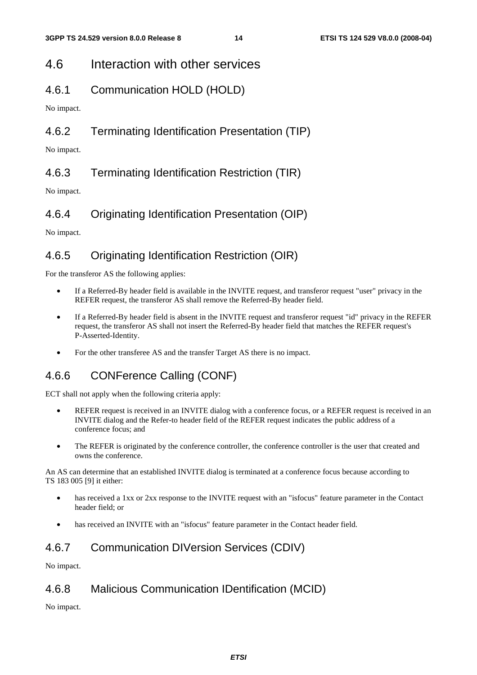### 4.6 Interaction with other services

### 4.6.1 Communication HOLD (HOLD)

No impact.

### 4.6.2 Terminating Identification Presentation (TIP)

No impact.

### 4.6.3 Terminating Identification Restriction (TIR)

No impact.

### 4.6.4 Originating Identification Presentation (OIP)

No impact.

### 4.6.5 Originating Identification Restriction (OIR)

For the transferor AS the following applies:

- If a Referred-By header field is available in the INVITE request, and transferor request "user" privacy in the REFER request, the transferor AS shall remove the Referred-By header field.
- If a Referred-By header field is absent in the INVITE request and transferor request "id" privacy in the REFER request, the transferor AS shall not insert the Referred-By header field that matches the REFER request's P-Asserted-Identity.
- For the other transferee AS and the transfer Target AS there is no impact.

### 4.6.6 CONFerence Calling (CONF)

ECT shall not apply when the following criteria apply:

- REFER request is received in an INVITE dialog with a conference focus, or a REFER request is received in an INVITE dialog and the Refer-to header field of the REFER request indicates the public address of a conference focus; and
- The REFER is originated by the conference controller, the conference controller is the user that created and owns the conference.

An AS can determine that an established INVITE dialog is terminated at a conference focus because according to TS 183 005 [9] it either:

- has received a 1xx or 2xx response to the INVITE request with an "isfocus" feature parameter in the Contact header field; or
- has received an INVITE with an "isfocus" feature parameter in the Contact header field.

### 4.6.7 Communication DIVersion Services (CDIV)

No impact.

### 4.6.8 Malicious Communication IDentification (MCID)

No impact.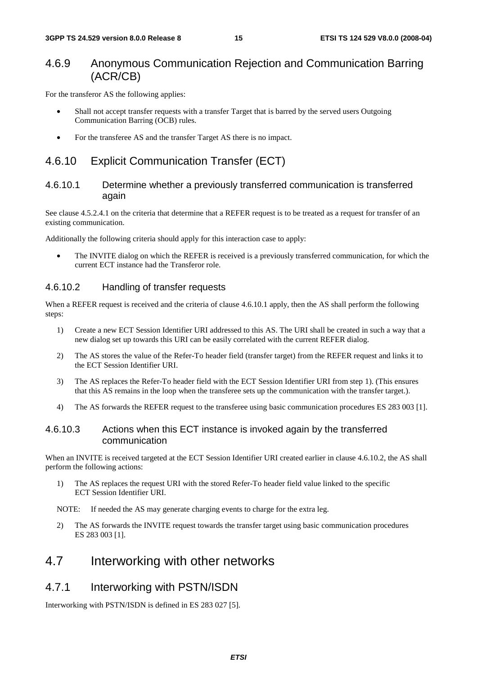### 4.6.9 Anonymous Communication Rejection and Communication Barring (ACR/CB)

For the transferor AS the following applies:

- Shall not accept transfer requests with a transfer Target that is barred by the served users Outgoing Communication Barring (OCB) rules.
- For the transferee AS and the transfer Target AS there is no impact.

### 4.6.10 Explicit Communication Transfer (ECT)

#### 4.6.10.1 Determine whether a previously transferred communication is transferred again

See clause 4.5.2.4.1 on the criteria that determine that a REFER request is to be treated as a request for transfer of an existing communication.

Additionally the following criteria should apply for this interaction case to apply:

• The INVITE dialog on which the REFER is received is a previously transferred communication, for which the current ECT instance had the Transferor role.

#### 4.6.10.2 Handling of transfer requests

When a REFER request is received and the criteria of clause 4.6.10.1 apply, then the AS shall perform the following steps:

- 1) Create a new ECT Session Identifier URI addressed to this AS. The URI shall be created in such a way that a new dialog set up towards this URI can be easily correlated with the current REFER dialog.
- 2) The AS stores the value of the Refer-To header field (transfer target) from the REFER request and links it to the ECT Session Identifier URI.
- 3) The AS replaces the Refer-To header field with the ECT Session Identifier URI from step 1). (This ensures that this AS remains in the loop when the transferee sets up the communication with the transfer target.).
- 4) The AS forwards the REFER request to the transferee using basic communication procedures ES 283 003 [1].

#### 4.6.10.3 Actions when this ECT instance is invoked again by the transferred communication

When an INVITE is received targeted at the ECT Session Identifier URI created earlier in clause 4.6.10.2, the AS shall perform the following actions:

1) The AS replaces the request URI with the stored Refer-To header field value linked to the specific ECT Session Identifier URI.

NOTE: If needed the AS may generate charging events to charge for the extra leg.

2) The AS forwards the INVITE request towards the transfer target using basic communication procedures ES 283 003 [1].

### 4.7 Interworking with other networks

### 4.7.1 Interworking with PSTN/ISDN

Interworking with PSTN/ISDN is defined in ES 283 027 [5].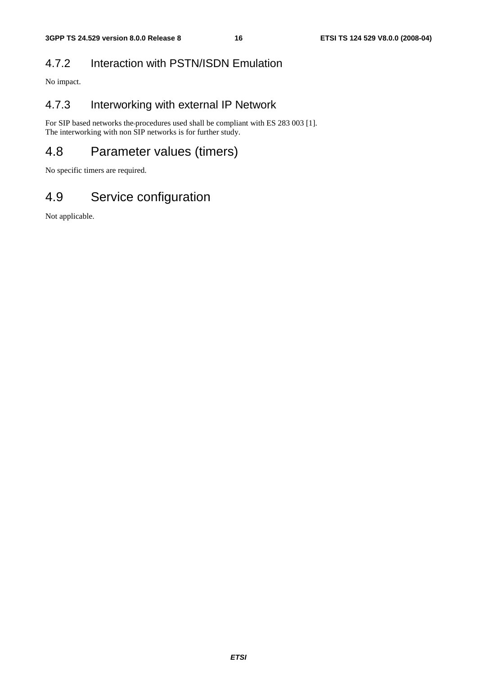### 4.7.2 Interaction with PSTN/ISDN Emulation

No impact.

### 4.7.3 Interworking with external IP Network

For SIP based networks the procedures used shall be compliant with ES 283 003 [1]. The interworking with non SIP networks is for further study.

## 4.8 Parameter values (timers)

No specific timers are required.

# 4.9 Service configuration

Not applicable.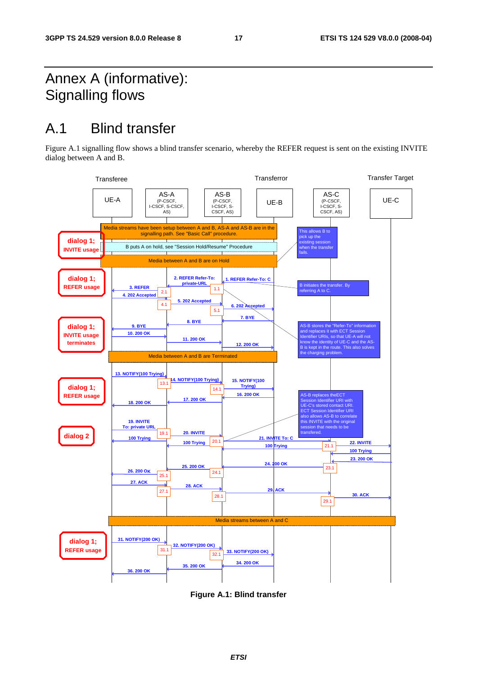# Annex A (informative): Signalling flows

# A.1 Blind transfer

Figure A.1 signalling flow shows a blind transfer scenario, whereby the REFER request is sent on the existing INVITE dialog between A and B.



**Figure A.1: Blind transfer**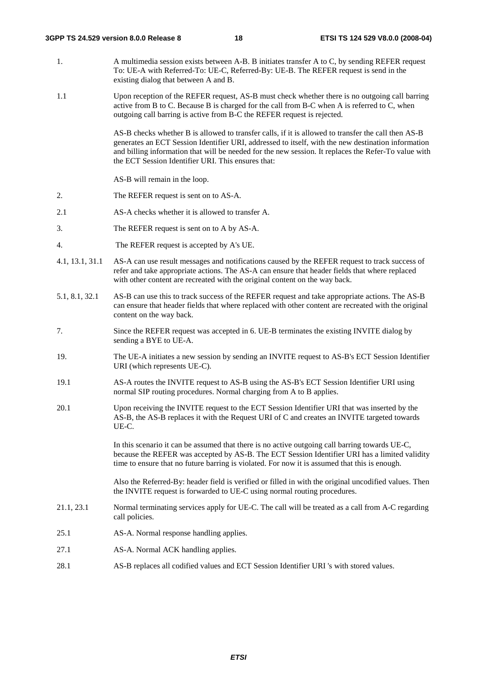- 1. A multimedia session exists between A-B. B initiates transfer A to C, by sending REFER request To: UE-A with Referred-To: UE-C, Referred-By: UE-B. The REFER request is send in the existing dialog that between A and B.
- 1.1 Upon reception of the REFER request, AS-B must check whether there is no outgoing call barring active from B to C. Because B is charged for the call from B-C when A is referred to C, when outgoing call barring is active from B-C the REFER request is rejected.

AS-B checks whether B is allowed to transfer calls, if it is allowed to transfer the call then AS-B generates an ECT Session Identifier URI, addressed to itself, with the new destination information and billing information that will be needed for the new session. It replaces the Refer-To value with the ECT Session Identifier URI. This ensures that:

AS-B will remain in the loop.

- 2. The REFER request is sent on to AS-A.
- 2.1 AS-A checks whether it is allowed to transfer A.
- 3. The REFER request is sent on to A by AS-A.
- 4. The REFER request is accepted by A's UE.
- 4.1, 13.1, 31.1 AS-A can use result messages and notifications caused by the REFER request to track success of refer and take appropriate actions. The AS-A can ensure that header fields that where replaced with other content are recreated with the original content on the way back.
- 5.1, 8.1, 32.1 AS-B can use this to track success of the REFER request and take appropriate actions. The AS-B can ensure that header fields that where replaced with other content are recreated with the original content on the way back.
- 7. Since the REFER request was accepted in 6. UE-B terminates the existing INVITE dialog by sending a BYE to UE-A.
- 19. The UE-A initiates a new session by sending an INVITE request to AS-B's ECT Session Identifier URI (which represents UE-C).
- 19.1 AS-A routes the INVITE request to AS-B using the AS-B's ECT Session Identifier URI using normal SIP routing procedures. Normal charging from A to B applies.
- 20.1 Upon receiving the INVITE request to the ECT Session Identifier URI that was inserted by the AS-B, the AS-B replaces it with the Request URI of C and creates an INVITE targeted towards UE-C.

In this scenario it can be assumed that there is no active outgoing call barring towards UE-C, because the REFER was accepted by AS-B. The ECT Session Identifier URI has a limited validity time to ensure that no future barring is violated. For now it is assumed that this is enough.

Also the Referred-By: header field is verified or filled in with the original uncodified values. Then the INVITE request is forwarded to UE-C using normal routing procedures.

- 21.1, 23.1 Normal terminating services apply for UE-C. The call will be treated as a call from A-C regarding call policies.
- 25.1 AS-A. Normal response handling applies.
- 27.1 AS-A. Normal ACK handling applies.
- 28.1 AS-B replaces all codified values and ECT Session Identifier URI 's with stored values.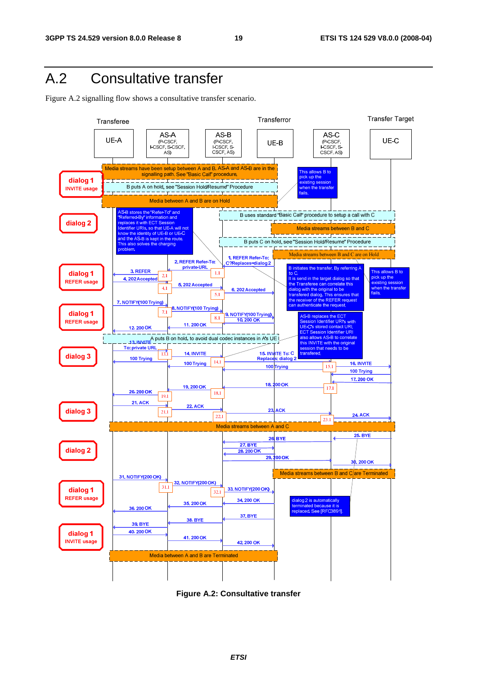# A.2 Consultative transfer

Figure A.2 signalling flow shows a consultative transfer scenario.



**Figure A.2: Consultative transfer**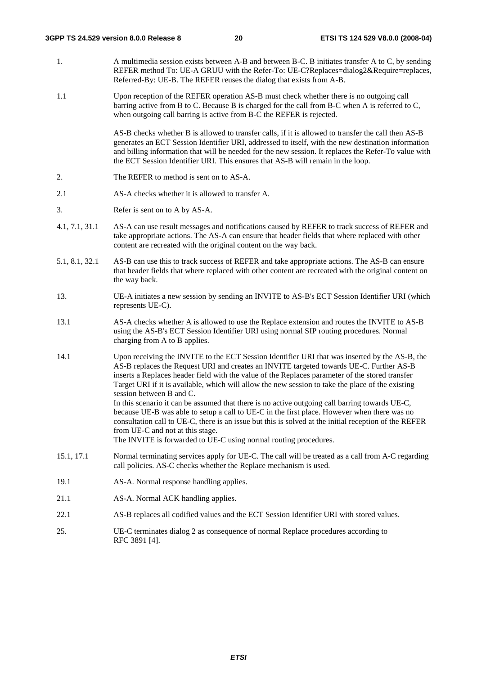- 1. A multimedia session exists between A-B and between B-C. B initiates transfer A to C, by sending REFER method To: UE-A GRUU with the Refer-To: UE-C?Replaces=dialog2&Require=replaces, Referred-By: UE-B. The REFER reuses the dialog that exists from A-B.
- 1.1 Upon reception of the REFER operation AS-B must check whether there is no outgoing call barring active from B to C. Because B is charged for the call from B-C when A is referred to C, when outgoing call barring is active from B-C the REFER is rejected.

AS-B checks whether B is allowed to transfer calls, if it is allowed to transfer the call then AS-B generates an ECT Session Identifier URI, addressed to itself, with the new destination information and billing information that will be needed for the new session. It replaces the Refer-To value with the ECT Session Identifier URI. This ensures that AS-B will remain in the loop.

- 2. The REFER to method is sent on to AS-A.
- 2.1 AS-A checks whether it is allowed to transfer A.
- 3. Refer is sent on to A by AS-A.
- 4.1, 7.1, 31.1 AS-A can use result messages and notifications caused by REFER to track success of REFER and take appropriate actions. The AS-A can ensure that header fields that where replaced with other content are recreated with the original content on the way back.
- 5.1, 8.1, 32.1 AS-B can use this to track success of REFER and take appropriate actions. The AS-B can ensure that header fields that where replaced with other content are recreated with the original content on the way back.
- 13. UE-A initiates a new session by sending an INVITE to AS-B's ECT Session Identifier URI (which represents UE-C).
- 13.1 AS-A checks whether A is allowed to use the Replace extension and routes the INVITE to AS-B using the AS-B's ECT Session Identifier URI using normal SIP routing procedures. Normal charging from A to B applies.
- 14.1 Upon receiving the INVITE to the ECT Session Identifier URI that was inserted by the AS-B, the AS-B replaces the Request URI and creates an INVITE targeted towards UE-C. Further AS-B inserts a Replaces header field with the value of the Replaces parameter of the stored transfer Target URI if it is available, which will allow the new session to take the place of the existing session between B and C. In this scenario it can be assumed that there is no active outgoing call barring towards UE-C, because UE-B was able to setup a call to UE-C in the first place. However when there was no

consultation call to UE-C, there is an issue but this is solved at the initial reception of the REFER from UE-C and not at this stage.

The INVITE is forwarded to UE-C using normal routing procedures.

- 15.1, 17.1 Normal terminating services apply for UE-C. The call will be treated as a call from A-C regarding call policies. AS-C checks whether the Replace mechanism is used.
- 19.1 AS-A. Normal response handling applies.
- 21.1 **AS-A.** Normal ACK handling applies.
- 22.1 AS-B replaces all codified values and the ECT Session Identifier URI with stored values.
- 25. UE-C terminates dialog 2 as consequence of normal Replace procedures according to RFC 3891 [4].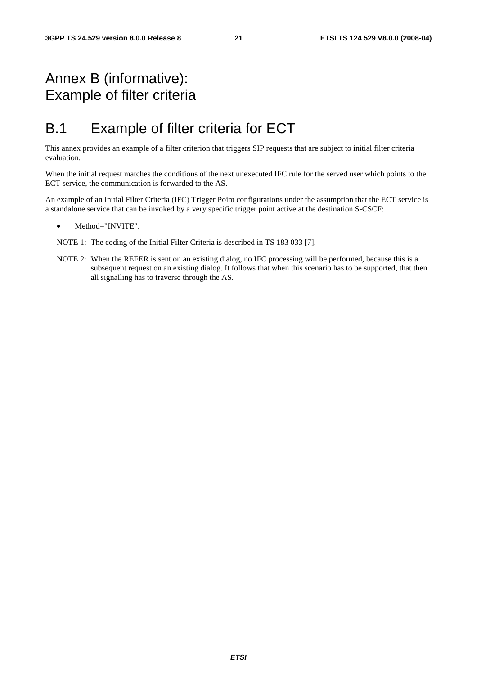# Annex B (informative): Example of filter criteria

# B.1 Example of filter criteria for ECT

This annex provides an example of a filter criterion that triggers SIP requests that are subject to initial filter criteria evaluation.

When the initial request matches the conditions of the next unexecuted IFC rule for the served user which points to the ECT service, the communication is forwarded to the AS.

An example of an Initial Filter Criteria (IFC) Trigger Point configurations under the assumption that the ECT service is a standalone service that can be invoked by a very specific trigger point active at the destination S-CSCF:

Method="INVITE".

NOTE 1: The coding of the Initial Filter Criteria is described in TS 183 033 [7].

NOTE 2: When the REFER is sent on an existing dialog, no IFC processing will be performed, because this is a subsequent request on an existing dialog. It follows that when this scenario has to be supported, that then all signalling has to traverse through the AS.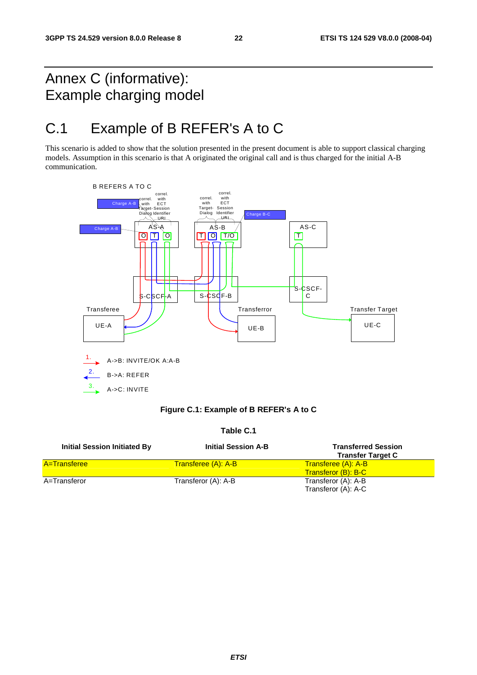# Annex C (informative): Example charging model

# C.1 Example of B REFER's A to C

This scenario is added to show that the solution presented in the present document is able to support classical charging models. Assumption in this scenario is that A originated the original call and is thus charged for the initial A-B communication.



#### **Table C.1**

| <b>Initial Session Initiated By</b> | <b>Initial Session A-B</b> | <b>Transferred Session</b><br><b>Transfer Target C</b> |
|-------------------------------------|----------------------------|--------------------------------------------------------|
| <b>A</b> =Transferee                | Transferee (A): A-B        | <b>Transferee (A): A-B</b><br>Transferor (B): B-C      |
| A=Transferor                        | Transferor (A): A-B        | Transferor (A): A-B<br>Transferor (A): A-C             |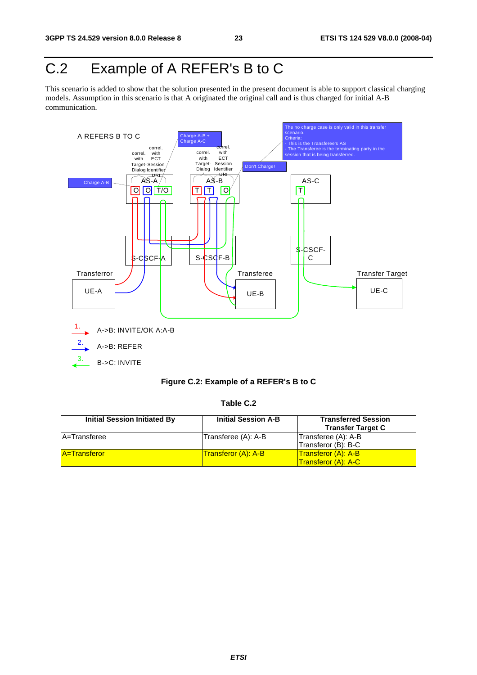# C.2 Example of A REFER's B to C

This scenario is added to show that the solution presented in the present document is able to support classical charging models. Assumption in this scenario is that A originated the original call and is thus charged for initial A-B communication.



#### **Figure C.2: Example of a REFER's B to C**

**Table C.2** 

| <b>Initial Session Initiated By</b> | <b>Initial Session A-B</b> | <b>Transferred Session</b>   |
|-------------------------------------|----------------------------|------------------------------|
|                                     |                            | <b>Transfer Target C</b>     |
| <b>A</b> =Transferee                | Transferee (A): A-B        | Transferee (A): A-B          |
|                                     |                            | Transferor (B): B-C          |
| <b>A</b> =Transferor                | <b>Transferor (A): A-B</b> | Transferor (A): A-B          |
|                                     |                            | <u>  Transferor (A): A-C</u> |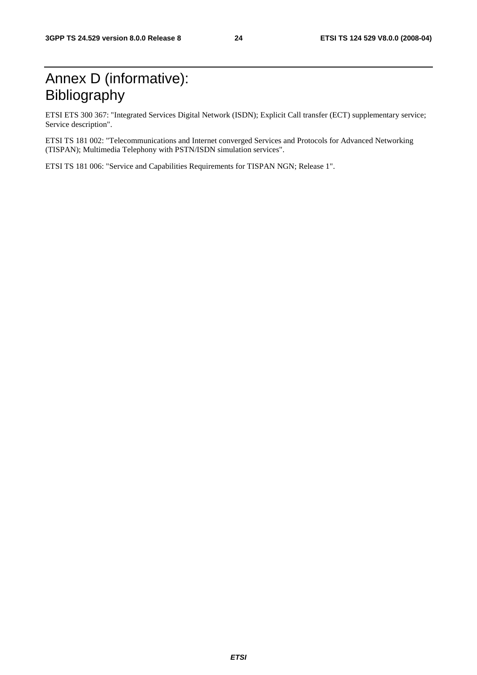# Annex D (informative): Bibliography

ETSI ETS 300 367: "Integrated Services Digital Network (ISDN); Explicit Call transfer (ECT) supplementary service; Service description".

ETSI TS 181 002: "Telecommunications and Internet converged Services and Protocols for Advanced Networking (TISPAN); Multimedia Telephony with PSTN/ISDN simulation services".

ETSI TS 181 006: "Service and Capabilities Requirements for TISPAN NGN; Release 1".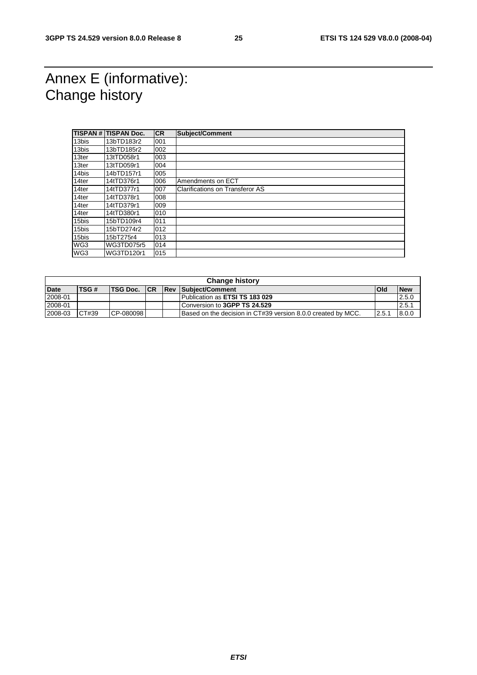# Annex E (informative): Change history

|       | <b>TISPAN # TISPAN Doc.</b> | <b>CR</b> | Subject/Comment                        |
|-------|-----------------------------|-----------|----------------------------------------|
| 13bis | 13bTD183r2                  | 001       |                                        |
| 13bis | 13bTD185r2                  | 002       |                                        |
| 13ter | 13tTD058r1                  | 003       |                                        |
| 13ter | 13tTD059r1                  | 004       |                                        |
| 14bis | 14bTD157r1                  | 005       |                                        |
| 14ter | 14tTD376r1                  | 006       | Amendments on ECT                      |
| 14ter | 14tTD377r1                  | 007       | <b>Clarifications on Transferor AS</b> |
| 14ter | 14tTD378r1                  | 008       |                                        |
| 14ter | 14tTD379r1                  | 009       |                                        |
| 14ter | 14tTD380r1                  | 010       |                                        |
| 15bis | 15bTD109r4                  | 011       |                                        |
| 15bis | 15bTD274r2                  | 012       |                                        |
| 15bis | 15bT275r4                   | 013       |                                        |
| WG3   | WG3TD075r5                  | 014       |                                        |
| WG3   | WG3TD120r1                  | 015       |                                        |

| <b>Change history</b> |             |           |            |  |                                                                      |      |            |
|-----------------------|-------------|-----------|------------|--|----------------------------------------------------------------------|------|------------|
| <b>Date</b>           | <b>TSG#</b> | TSG Doc.  | <b>ICR</b> |  | <b>Rev Subject/Comment</b>                                           | lOld | <b>New</b> |
| 2008-01               |             |           |            |  | Publication as ETSI TS 183 029                                       |      | 2.5.0      |
| 2008-01               |             |           |            |  | Conversion to 3GPP TS 24.529                                         |      | 2.5.1      |
| 2008-03               | CT#39       | CP-080098 |            |  | <b>IBased on the decision in CT#39 version 8.0.0 created by MCC.</b> | 2.5. | 8.0.0      |